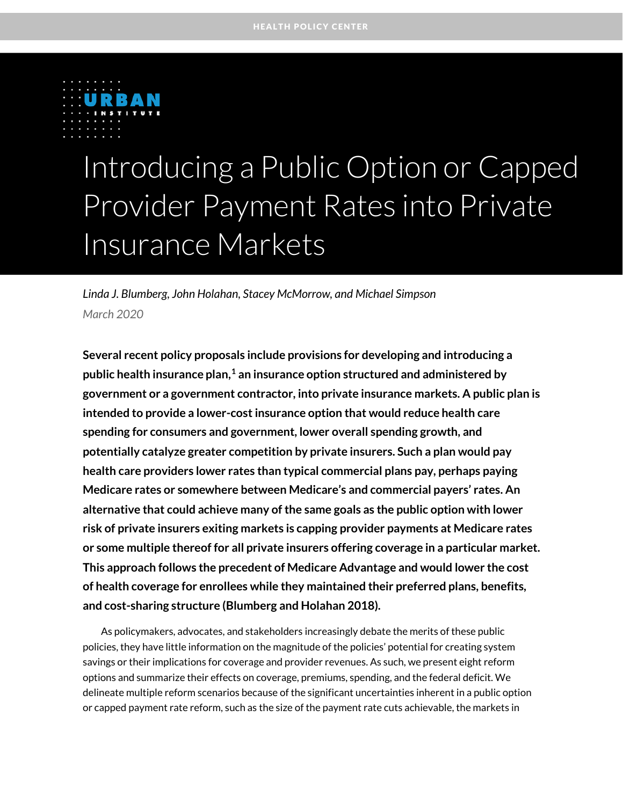

# Introducing a Public Option or Capped Provider Payment Rates into Private Insurance Markets

*Linda J. Blumberg, John Holahan, Stacey McMorrow, and Michael Simpson March 2020*

**Several recent policy proposals include provisions for developing and introducing a**  public health insurance plan,<sup>[1](#page-15-0)</sup> an insurance option structured and administered by **government or a government contractor, into private insurance markets. A public plan is intended to provide a lower-cost insurance option that would reduce health care spending for consumers and government, lower overall spending growth, and potentially catalyze greater competition by private insurers. Such a plan would pay health care providers lower rates than typical commercial plans pay, perhaps paying Medicare rates or somewhere between Medicare's and commercial payers' rates. An alternative that could achieve many of the same goals as the public option with lower risk of private insurers exiting markets is capping provider payments at Medicare rates or some multiple thereof for all private insurers offering coverage in a particular market. This approach follows the precedent of Medicare Advantage and would lower the cost of health coverage for enrollees while they maintained their preferred plans, benefits, and cost-sharing structure (Blumberg and Holahan 2018).**

As policymakers, advocates, and stakeholders increasingly debate the merits of these public policies, they have little information on the magnitude of the policies' potential for creating system savings or their implications for coverage and provider revenues. As such, we present eight reform options and summarize their effects on coverage, premiums, spending, and the federal deficit. We delineate multiple reform scenarios because of the significant uncertainties inherent in a public option or capped payment rate reform, such as the size of the payment rate cuts achievable, the markets in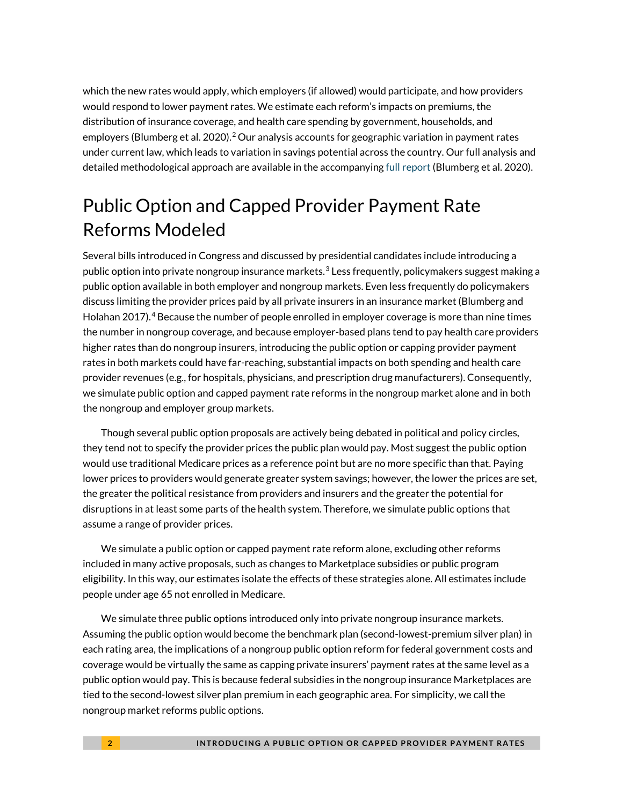which the new rates would apply, which employers (if allowed) would participate, and how providers would respond to lower payment rates. We estimate each reform's impacts on premiums, the distribution of insurance coverage, and health care spending by government, households, and employers (Blumberg et al. 2020). [2](#page-15-1) Our analysis accounts for geographic variation in payment rates under current law, which leads to variation in savings potential across the country. Our full analysis and detailed methodological approach are available in the accompanying [full report](https://www.urban.org/research/publication/how-about-estimates-implications-public-option-and-capped-provider-payment-rate-reforms/report) (Blumberg et al. 2020).

## Public Option and Capped Provider Payment Rate Reforms Modeled

Several bills introduced in Congress and discussed by presidential candidates include introducing a public option into private nongroup insurance markets. $3$  Less frequently, policymakers suggest making a public option available in both employer and nongroup markets. Even less frequently do policymakers discuss limiting the provider prices paid by all private insurers in an insurance market (Blumberg and Holahan 2017). [4](#page-15-3) Because the number of people enrolled in employer coverage is more than nine times the number in nongroup coverage, and because employer-based plans tend to pay health care providers higher rates than do nongroup insurers, introducing the public option or capping provider payment rates in both markets could have far-reaching, substantial impacts on both spending and health care provider revenues (e.g., for hospitals, physicians, and prescription drug manufacturers). Consequently, we simulate public option and capped payment rate reforms in the nongroup market alone and in both the nongroup and employer group markets.

Though several public option proposals are actively being debated in political and policy circles, they tend not to specify the provider prices the public plan would pay. Most suggest the public option would use traditional Medicare prices as a reference point but are no more specific than that. Paying lower prices to providers would generate greater system savings; however, the lower the prices are set, the greater the political resistance from providers and insurers and the greater the potential for disruptions in at least some parts of the health system. Therefore, we simulate public options that assume a range of provider prices.

We simulate a public option or capped payment rate reform alone, excluding other reforms included in many active proposals, such as changes to Marketplace subsidies or public program eligibility. In this way, our estimates isolate the effects of these strategies alone. All estimates include people under age 65 not enrolled in Medicare.

We simulate three public options introduced only into private nongroup insurance markets. Assuming the public option would become the benchmark plan (second-lowest-premium silver plan) in each rating area, the implications of a nongroup public option reform for federal government costs and coverage would be virtually the same as capping private insurers' payment rates at the same level as a public option would pay. This is because federal subsidies in the nongroup insurance Marketplaces are tied to the second-lowest silver plan premium in each geographic area. For simplicity, we call the nongroup market reforms public options.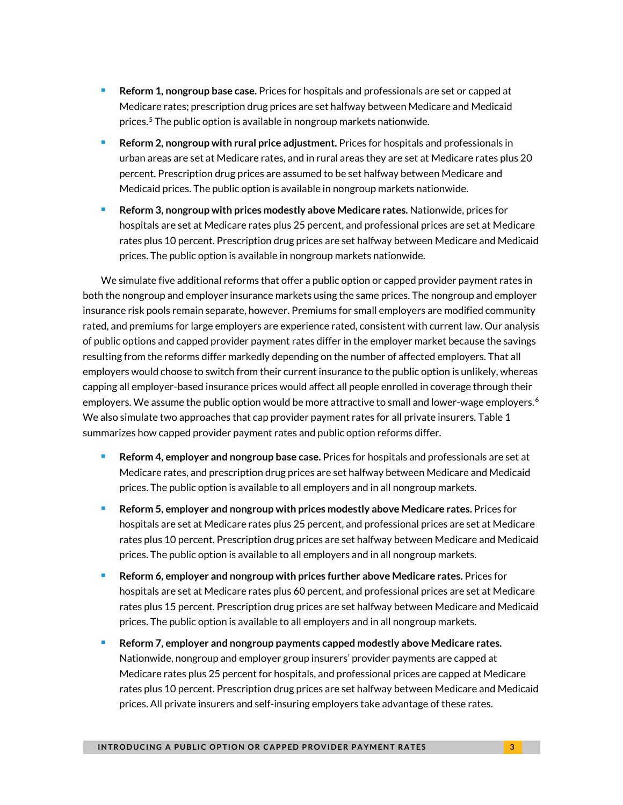- **Reform 1, nongroup base case.** Prices for hospitals and professionals are set or capped at Medicare rates; prescription drug prices are set halfway between Medicare and Medicaid prices.<sup>[5](#page-15-4)</sup> The public option is available in nongroup markets nationwide.
- **Reform 2, nongroup with rural price adjustment.** Prices for hospitals and professionals in urban areas are set at Medicare rates, and in rural areas they are set at Medicare rates plus 20 percent. Prescription drug prices are assumed to be set halfway between Medicare and Medicaid prices. The public option is available in nongroup markets nationwide.
- **Reform 3, nongroup with prices modestly above Medicare rates.** Nationwide, prices for hospitals are set at Medicare rates plus 25 percent, and professional prices are set at Medicare rates plus 10 percent. Prescription drug prices are set halfway between Medicare and Medicaid prices. The public option is available in nongroup markets nationwide.

We simulate five additional reforms that offer a public option or capped provider payment rates in both the nongroup and employer insurance markets using the same prices. The nongroup and employer insurance risk pools remain separate, however. Premiums for small employers are modified community rated, and premiums for large employers are experience rated, consistent with current law. Our analysis of public options and capped provider payment rates differ in the employer market because the savings resulting from the reforms differ markedly depending on the number of affected employers. That all employers would choose to switch from their current insurance to the public option is unlikely, whereas capping all employer-based insurance prices would affect all people enrolled in coverage through their employers. We assume the public option would be more attractive to small and lower-wage employers.<sup>[6](#page-15-5)</sup> We also simulate two approaches that cap provider payment rates for all private insurers. Table 1 summarizes how capped provider payment rates and public option reforms differ.

- **Reform 4, employer and nongroup base case.** Prices for hospitals and professionals are set at Medicare rates, and prescription drug prices are set halfway between Medicare and Medicaid prices. The public option is available to all employers and in all nongroup markets.
- **Reform 5, employer and nongroup with prices modestly above Medicare rates.** Prices for hospitals are set at Medicare rates plus 25 percent, and professional prices are set at Medicare rates plus 10 percent. Prescription drug prices are set halfway between Medicare and Medicaid prices. The public option is available to all employers and in all nongroup markets.
- **Reform 6, employer and nongroup with prices further above Medicare rates.** Prices for hospitals are set at Medicare rates plus 60 percent, and professional prices are set at Medicare rates plus 15 percent. Prescription drug prices are set halfway between Medicare and Medicaid prices. The public option is available to all employers and in all nongroup markets.
- **Reform 7, employer and nongroup payments capped modestly above Medicare rates.** Nationwide, nongroup and employer group insurers' provider payments are capped at Medicare rates plus 25 percent for hospitals, and professional prices are capped at Medicare rates plus 10 percent. Prescription drug prices are set halfway between Medicare and Medicaid prices. All private insurers and self-insuring employers take advantage of these rates.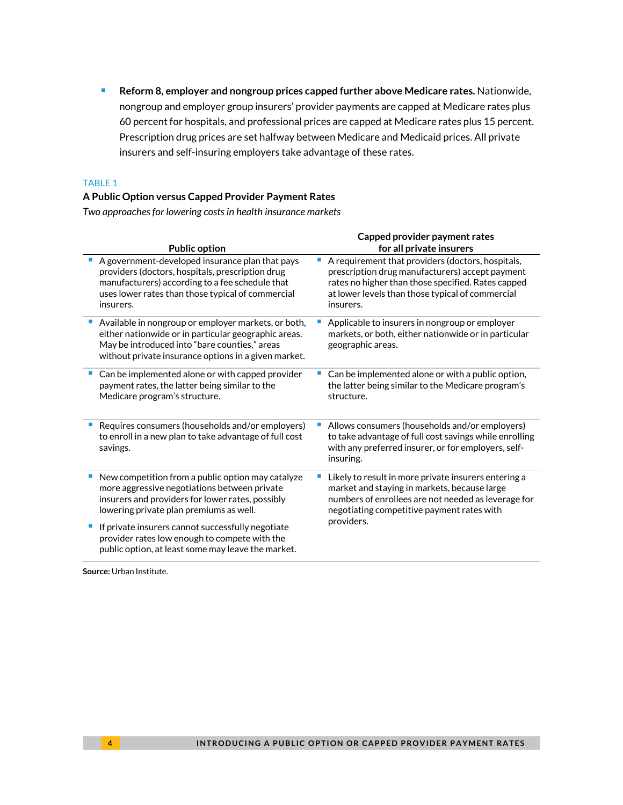**Reform 8, employer and nongroup prices capped further above Medicare rates.** Nationwide, nongroup and employer group insurers' provider payments are capped at Medicare rates plus 60 percent for hospitals, and professional prices are capped at Medicare rates plus 15 percent. Prescription drug prices are set halfway between Medicare and Medicaid prices. All private insurers and self-insuring employers take advantage of these rates.

#### TABLE 1

#### **A Public Option versus Capped Provider Payment Rates**

*Two approaches for lowering costs in health insurance markets*

|                                                                                                                                                                                                                          | Capped provider payment rates |                                                                                                                                                                                                                             |  |  |  |
|--------------------------------------------------------------------------------------------------------------------------------------------------------------------------------------------------------------------------|-------------------------------|-----------------------------------------------------------------------------------------------------------------------------------------------------------------------------------------------------------------------------|--|--|--|
| <b>Public option</b>                                                                                                                                                                                                     | for all private insurers      |                                                                                                                                                                                                                             |  |  |  |
| A government-developed insurance plan that pays<br>providers (doctors, hospitals, prescription drug<br>manufacturers) according to a fee schedule that<br>uses lower rates than those typical of commercial<br>insurers. |                               | A requirement that providers (doctors, hospitals,<br>prescription drug manufacturers) accept payment<br>rates no higher than those specified. Rates capped<br>at lower levels than those typical of commercial<br>insurers. |  |  |  |
| Available in nongroup or employer markets, or both,<br>either nationwide or in particular geographic areas.<br>May be introduced into "bare counties," areas<br>without private insurance options in a given market.     |                               | Applicable to insurers in nongroup or employer<br>markets, or both, either nationwide or in particular<br>geographic areas.                                                                                                 |  |  |  |
| Can be implemented alone or with capped provider<br>payment rates, the latter being similar to the<br>Medicare program's structure.                                                                                      |                               | Can be implemented alone or with a public option,<br>the latter being similar to the Medicare program's<br>structure.                                                                                                       |  |  |  |
| Requires consumers (households and/or employers)<br>to enroll in a new plan to take advantage of full cost<br>savings.                                                                                                   |                               | Allows consumers (households and/or employers)<br>to take advantage of full cost savings while enrolling<br>with any preferred insurer, or for employers, self-<br>insuring.                                                |  |  |  |
| New competition from a public option may catalyze<br>more aggressive negotiations between private<br>insurers and providers for lower rates, possibly<br>lowering private plan premiums as well.                         |                               | Likely to result in more private insurers entering a<br>market and staying in markets, because large<br>numbers of enrollees are not needed as leverage for<br>negotiating competitive payment rates with                   |  |  |  |
| If private insurers cannot successfully negotiate<br>provider rates low enough to compete with the<br>public option, at least some may leave the market.                                                                 |                               | providers.                                                                                                                                                                                                                  |  |  |  |

**Source:** Urban Institute.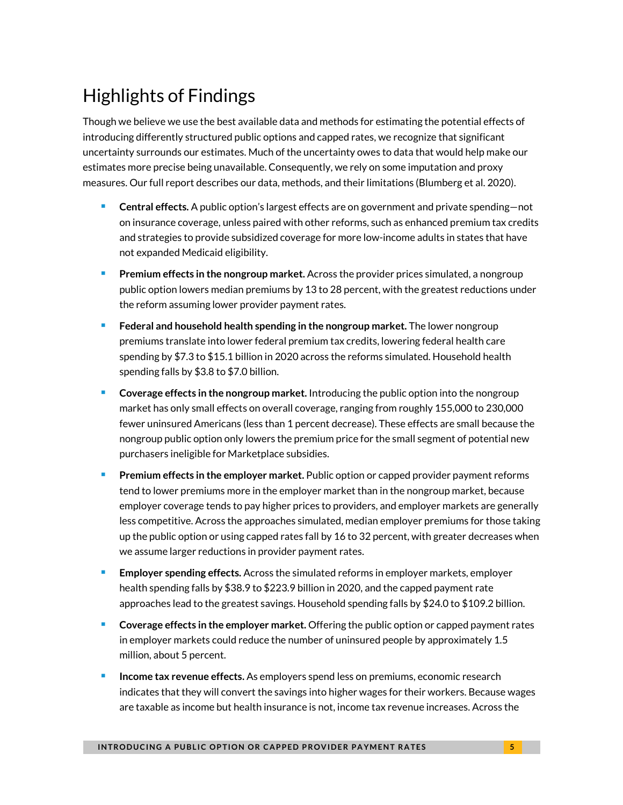# Highlights of Findings

Though we believe we use the best available data and methods for estimating the potential effects of introducing differently structured public options and capped rates, we recognize that significant uncertainty surrounds our estimates. Much of the uncertainty owes to data that would help make our estimates more precise being unavailable. Consequently, we rely on some imputation and proxy measures. Our full report describes our data, methods, and their limitations (Blumberg et al. 2020).

- **Central effects.** A public option's largest effects are on government and private spending—not on insurance coverage, unless paired with other reforms, such as enhanced premium tax credits and strategies to provide subsidized coverage for more low-income adults in states that have not expanded Medicaid eligibility.
- **Premium effects in the nongroup market.** Across the provider prices simulated, a nongroup public option lowers median premiums by 13 to 28 percent, with the greatest reductions under the reform assuming lower provider payment rates.
- **Federal and household health spending in the nongroup market.** The lower nongroup premiums translate into lower federal premium tax credits, lowering federal health care spending by \$7.3 to \$15.1 billion in 2020 across the reforms simulated. Household health spending falls by \$3.8 to \$7.0 billion.
- **Coverage effects in the nongroup market.** Introducing the public option into the nongroup market has only small effects on overall coverage, ranging from roughly 155,000 to 230,000 fewer uninsured Americans (less than 1 percent decrease). These effects are small because the nongroup public option only lowers the premium price for the small segment of potential new purchasers ineligible for Marketplace subsidies.
- **Premium effects in the employer market.** Public option or capped provider payment reforms tend to lower premiums more in the employer market than in the nongroup market, because employer coverage tends to pay higher prices to providers, and employer markets are generally less competitive. Across the approaches simulated, median employer premiums for those taking up the public option or using capped rates fall by 16 to 32 percent, with greater decreases when we assume larger reductions in provider payment rates.
- **Employer spending effects.** Across the simulated reforms in employer markets, employer health spending falls by \$38.9 to \$223.9 billion in 2020, and the capped payment rate approaches lead to the greatest savings. Household spending falls by \$24.0 to \$109.2 billion.
- **Coverage effects in the employer market.** Offering the public option or capped payment rates in employer markets could reduce the number of uninsured people by approximately 1.5 million, about 5 percent.
- **Income tax revenue effects.** As employers spend less on premiums, economic research indicates that they will convert the savings into higher wages for their workers. Because wages are taxable as income but health insurance is not, income tax revenue increases. Across the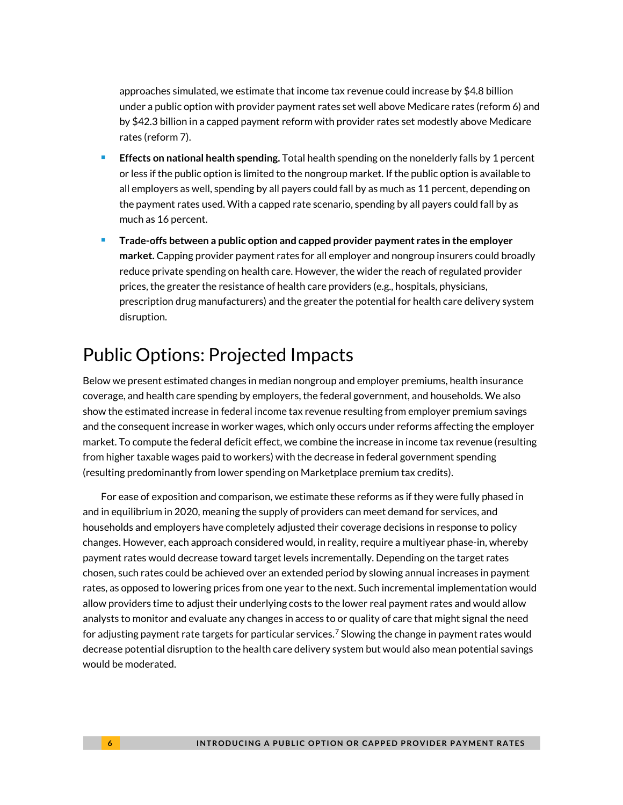approaches simulated, we estimate that income tax revenue could increase by \$4.8 billion under a public option with provider payment rates set well above Medicare rates (reform 6) and by \$42.3 billion in a capped payment reform with provider rates set modestly above Medicare rates (reform 7).

- **Effects on national health spending.** Total health spending on the nonelderly falls by 1 percent or less if the public option is limited to the nongroup market. If the public option is available to all employers as well, spending by all payers could fall by as much as 11 percent, depending on the payment rates used. With a capped rate scenario, spending by all payers could fall by as much as 16 percent.
- **Trade-offs between a public option and capped provider payment rates in the employer market.** Capping provider payment rates for all employer and nongroup insurers could broadly reduce private spending on health care. However, the wider the reach of regulated provider prices, the greater the resistance of health care providers (e.g., hospitals, physicians, prescription drug manufacturers) and the greater the potential for health care delivery system disruption.

### Public Options: Projected Impacts

Below we present estimated changes in median nongroup and employer premiums, health insurance coverage, and health care spending by employers, the federal government, and households. We also show the estimated increase in federal income tax revenue resulting from employer premium savings and the consequent increase in worker wages, which only occurs under reforms affecting the employer market. To compute the federal deficit effect, we combine the increase in income tax revenue (resulting from higher taxable wages paid to workers) with the decrease in federal government spending (resulting predominantly from lower spending on Marketplace premium tax credits).

For ease of exposition and comparison, we estimate these reforms as if they were fully phased in and in equilibrium in 2020, meaning the supply of providers can meet demand for services, and households and employers have completely adjusted their coverage decisions in response to policy changes. However, each approach considered would, in reality, require a multiyear phase-in, whereby payment rates would decrease toward target levels incrementally. Depending on the target rates chosen, such rates could be achieved over an extended period by slowing annual increases in payment rates, as opposed to lowering prices from one year to the next. Such incremental implementation would allow providers time to adjust their underlying costs to the lower real payment rates and would allow analysts to monitor and evaluate any changes in access to or quality of care that might signal the need for adjusting payment rate targets for particular services.<sup>[7](#page-15-6)</sup> Slowing the change in payment rates would decrease potential disruption to the health care delivery system but would also mean potential savings would be moderated.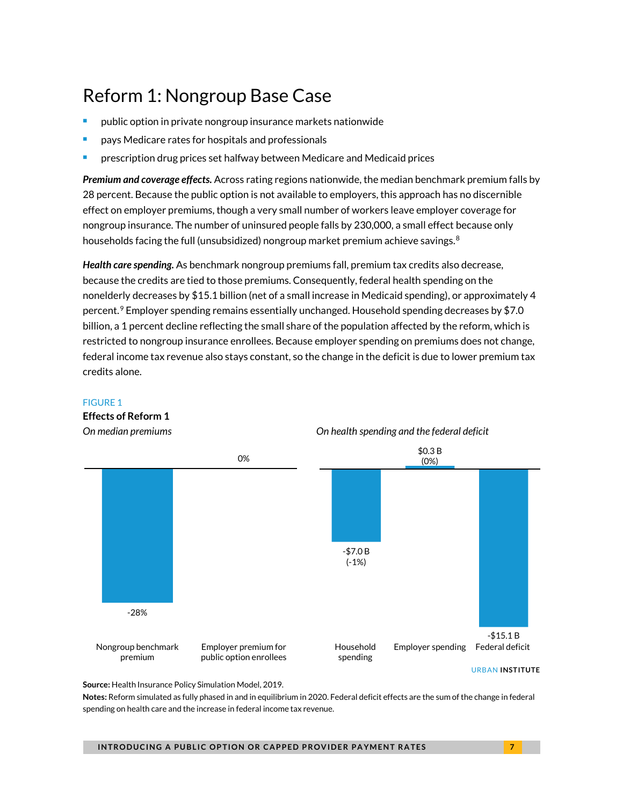# Reform 1: Nongroup Base Case

- public option in private nongroup insurance markets nationwide
- pays Medicare rates for hospitals and professionals
- prescription drug prices set halfway between Medicare and Medicaid prices

*Premium and coverage effects.* Across rating regions nationwide, the median benchmark premium falls by 28 percent. Because the public option is not available to employers, this approach has no discernible effect on employer premiums, though a very small number of workers leave employer coverage for nongroup insurance. The number of uninsured people falls by 230,000, a small effect because only households facing the full (unsubsidized) nongroup market premium achieve savings.<sup>[8](#page-15-7)</sup>

*Health care spending.* As benchmark nongroup premiums fall, premium tax credits also decrease, because the credits are tied to those premiums. Consequently, federal health spending on the nonelderly decreases by \$15.1 billion (net of a small increase in Medicaid spending), or approximately 4 percent.<sup>[9](#page-15-8)</sup> Employer spending remains essentially unchanged. Household spending decreases by \$7.0 billion, a 1 percent decline reflecting the small share of the population affected by the reform, which is restricted to nongroup insurance enrollees. Because employer spending on premiums does not change, federal income tax revenue also stays constant, so the change in the deficit is due to lower premium tax credits alone.



#### FIGURE 1

**Effects of Reform 1**

URBAN **INSTITUTE**

**Source:** Health Insurance Policy Simulation Model, 2019.

**Notes:** Reform simulated as fully phased in and in equilibrium in 2020. Federal deficit effects are the sum of the change in federal spending on health care and the increase in federal income tax revenue.

**INTRODUCING A PUBLIC OPTION OR CAPPED PROVIDER PAYMENT RATES 7**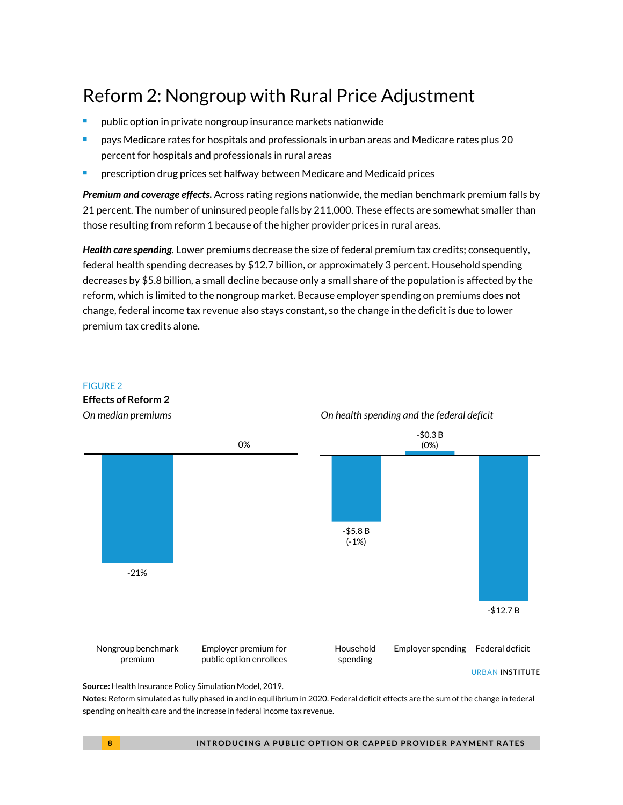### Reform 2: Nongroup with Rural Price Adjustment

- public option in private nongroup insurance markets nationwide
- pays Medicare rates for hospitals and professionals in urban areas and Medicare rates plus 20 percent for hospitals and professionals in rural areas
- prescription drug prices set halfway between Medicare and Medicaid prices

*Premium and coverage effects.* Across rating regions nationwide, the median benchmark premium falls by 21 percent. The number of uninsured people falls by 211,000. These effects are somewhat smaller than those resulting from reform 1 because of the higher provider prices in rural areas.

*Health care spending.* Lower premiums decrease the size of federal premium tax credits; consequently, federal health spending decreases by \$12.7 billion, or approximately 3 percent. Household spending decreases by \$5.8 billion, a small decline because only a small share of the population is affected by the reform, which is limited to the nongroup market. Because employer spending on premiums does not change, federal income tax revenue also stays constant, so the change in the deficit is due to lower premium tax credits alone.



**Notes:** Reform simulated as fully phased in and in equilibrium in 2020. Federal deficit effects are the sum of the change in federal spending on health care and the increase in federal income tax revenue.

FIGURE 2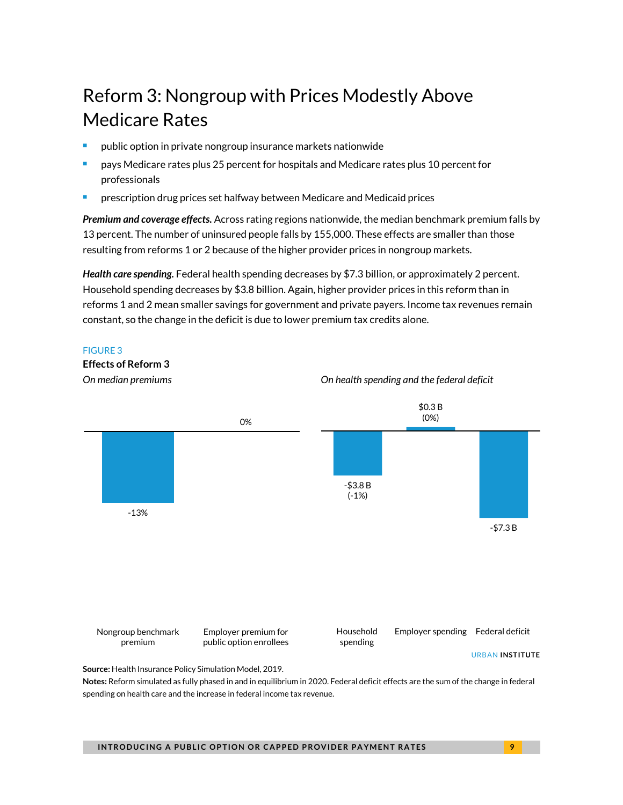## Reform 3: Nongroup with Prices Modestly Above Medicare Rates

- public option in private nongroup insurance markets nationwide
- pays Medicare rates plus 25 percent for hospitals and Medicare rates plus 10 percent for professionals
- prescription drug prices set halfway between Medicare and Medicaid prices

*Premium and coverage effects.* Across rating regions nationwide, the median benchmark premium falls by 13 percent. The number of uninsured people falls by 155,000. These effects are smaller than those resulting from reforms 1 or 2 because of the higher provider prices in nongroup markets.

*Health care spending.* Federal health spending decreases by \$7.3 billion, or approximately 2 percent. Household spending decreases by \$3.8 billion. Again, higher provider prices in this reform than in reforms 1 and 2 mean smaller savings for government and private payers. Income tax revenues remain constant, so the change in the deficit is due to lower premium tax credits alone.

#### FIGURE 3



**INTRODUCING A PUBLIC OPTION OR CAPPED PROVIDER PAYMENT RATES 9**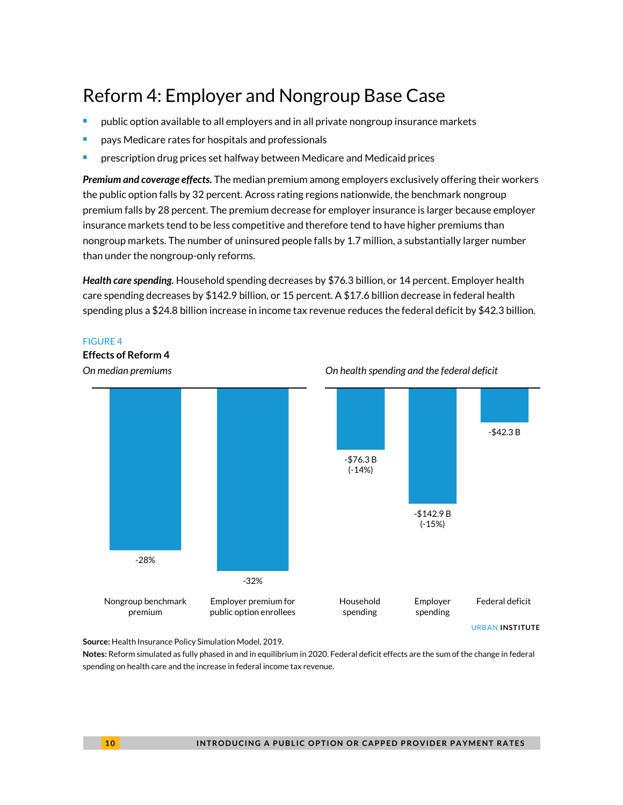### Reform 4: Employer and Nongroup Base Case

- public option available to all employers and in all private nongroup insurance markets
- pays Medicare rates for hospitals and professionals
- prescription drug prices set halfway between Medicare and Medicaid prices

*Premium and coverage effects.* The median premium among employers exclusively offering their workers the public option falls by 32 percent. Across rating regions nationwide, the benchmark nongroup premium falls by 28 percent. The premium decrease for employer insurance is larger because employer insurance markets tend to be less competitive and therefore tend to have higher premiums than nongroup markets. The number of uninsured people falls by 1.7 million, a substantially larger number than under the nongroup-only reforms.

*Health care spending.* Household spending decreases by \$76.3 billion, or 14 percent. Employer health care spending decreases by \$142.9 billion, or 15 percent. A \$17.6 billion decrease in federal health spending plus a \$24.8 billion increase in income tax revenue reduces the federal deficit by \$42.3 billion.

#### FIGURE 4

#### **Effects of Reform 4**



*On median premiums On health spending and the federal deficit*

**Source:** Health Insurance Policy Simulation Model, 2019.

**Notes:** Reform simulated as fully phased in and in equilibrium in 2020. Federal deficit effects are the sum of the change in federal spending on health care and the increase in federal income tax revenue.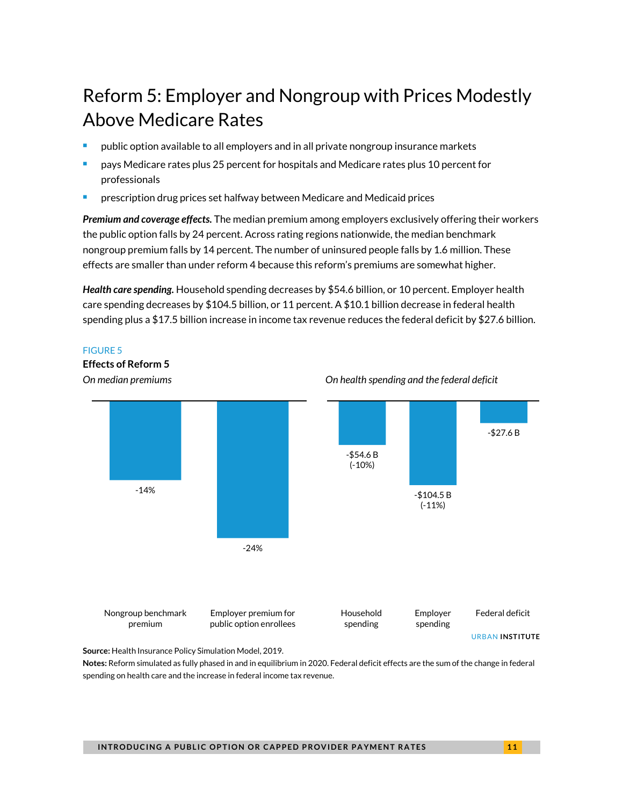# Reform 5: Employer and Nongroup with Prices Modestly Above Medicare Rates

- public option available to all employers and in all private nongroup insurance markets
- pays Medicare rates plus 25 percent for hospitals and Medicare rates plus 10 percent for professionals
- prescription drug prices set halfway between Medicare and Medicaid prices

*Premium and coverage effects.* The median premium among employers exclusively offering their workers the public option falls by 24 percent. Across rating regions nationwide, the median benchmark nongroup premium falls by 14 percent. The number of uninsured people falls by 1.6 million. These effects are smaller than under reform 4 because this reform's premiums are somewhat higher.

*Health care spending.* Household spending decreases by \$54.6 billion, or 10 percent. Employer health care spending decreases by \$104.5 billion, or 11 percent. A \$10.1 billion decrease in federal health spending plus a \$17.5 billion increase in income tax revenue reduces the federal deficit by \$27.6 billion.

#### FIGURE 5

**Effects of Reform 5**



**Notes:** Reform simulated as fully phased in and in equilibrium in 2020. Federal deficit effects are the sum of the change in federal spending on health care and the increase in federal income tax revenue.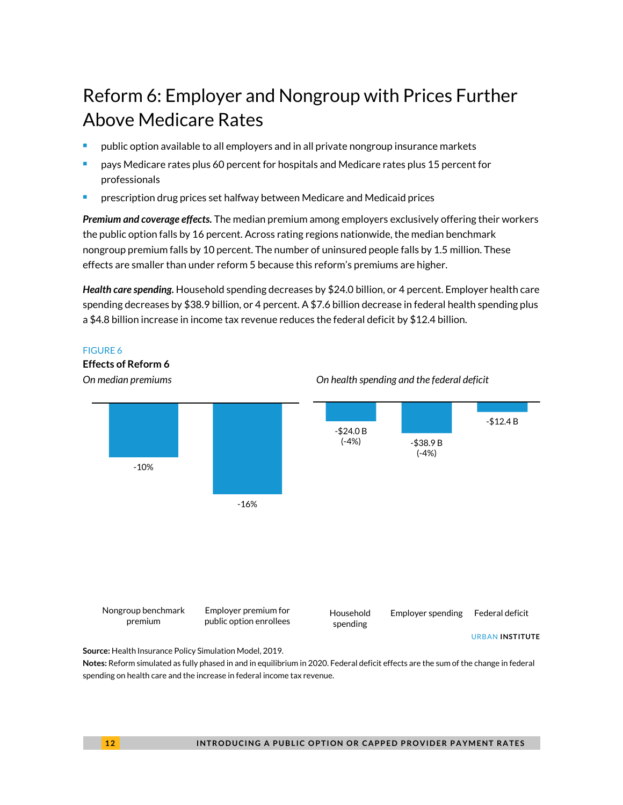# Reform 6: Employer and Nongroup with Prices Further Above Medicare Rates

- public option available to all employers and in all private nongroup insurance markets
- pays Medicare rates plus 60 percent for hospitals and Medicare rates plus 15 percent for professionals
- prescription drug prices set halfway between Medicare and Medicaid prices

*Premium and coverage effects.* The median premium among employers exclusively offering their workers the public option falls by 16 percent. Across rating regions nationwide, the median benchmark nongroup premium falls by 10 percent. The number of uninsured people falls by 1.5 million. These effects are smaller than under reform 5 because this reform's premiums are higher.

*Health care spending.* Household spending decreases by \$24.0 billion, or 4 percent. Employer health care spending decreases by \$38.9 billion, or 4 percent. A \$7.6 billion decrease in federal health spending plus a \$4.8 billion increase in income tax revenue reduces the federal deficit by \$12.4 billion.



**Notes:** Reform simulated as fully phased in and in equilibrium in 2020. Federal deficit effects are the sum of the change in federal spending on health care and the increase in federal income tax revenue.

FIGURE 6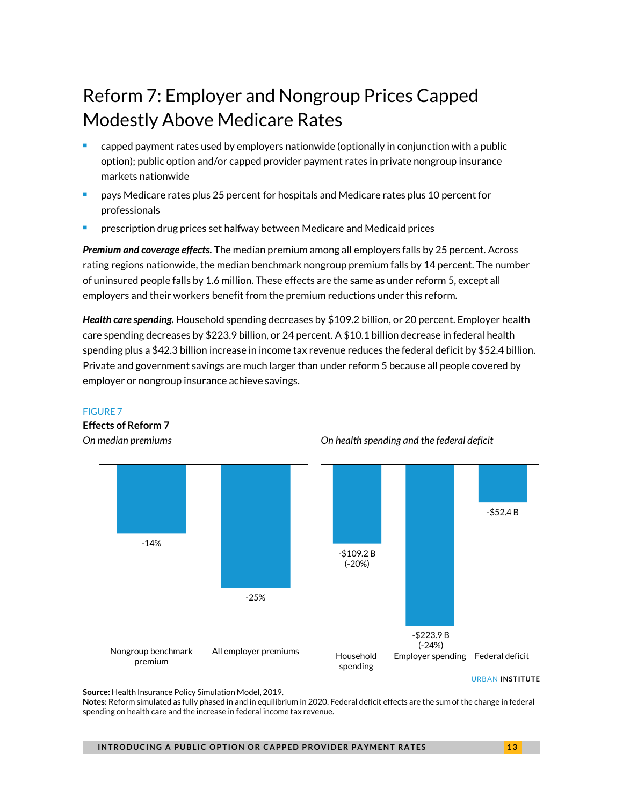# Reform 7: Employer and Nongroup Prices Capped Modestly Above Medicare Rates

- capped payment rates used by employers nationwide (optionally in conjunction with a public option); public option and/or capped provider payment rates in private nongroup insurance markets nationwide
- pays Medicare rates plus 25 percent for hospitals and Medicare rates plus 10 percent for professionals
- prescription drug prices set halfway between Medicare and Medicaid prices

*Premium and coverage effects.* The median premium among all employers falls by 25 percent. Across rating regions nationwide, the median benchmark nongroup premium falls by 14 percent. The number of uninsured people falls by 1.6 million. These effects are the same as under reform 5, except all employers and their workers benefit from the premium reductions under this reform.

*Health care spending.* Household spending decreases by \$109.2 billion, or 20 percent. Employer health care spending decreases by \$223.9 billion, or 24 percent. A \$10.1 billion decrease in federal health spending plus a \$42.3 billion increase in income tax revenue reduces the federal deficit by \$52.4 billion. Private and government savings are much larger than under reform 5 because all people covered by employer or nongroup insurance achieve savings.



#### *On median premiums On health spending and the federal deficit*

**Source:** Health Insurance Policy Simulation Model, 2019.

FIGURE 7

**Effects of Reform 7** 

**Notes:** Reform simulated as fully phased in and in equilibrium in 2020. Federal deficit effects are the sum of the change in federal spending on health care and the increase in federal income tax revenue.

**INTRODUCING A PUBLIC OPTION OR CAPPED PROVIDER PAYMENT RATES 13** 

URBAN **INSTITUTE**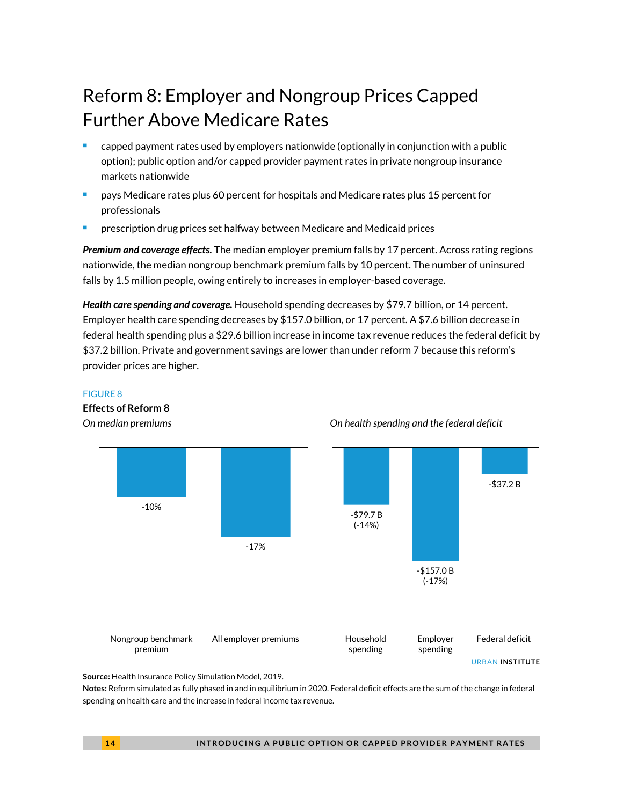## Reform 8: Employer and Nongroup Prices Capped Further Above Medicare Rates

- capped payment rates used by employers nationwide (optionally in conjunction with a public option); public option and/or capped provider payment rates in private nongroup insurance markets nationwide
- pays Medicare rates plus 60 percent for hospitals and Medicare rates plus 15 percent for professionals
- prescription drug prices set halfway between Medicare and Medicaid prices

*Premium and coverage effects.* The median employer premium falls by 17 percent. Across rating regions nationwide, the median nongroup benchmark premium falls by 10 percent. The number of uninsured falls by 1.5 million people, owing entirely to increases in employer-based coverage.

*Health care spending and coverage.* Household spending decreases by \$79.7 billion, or 14 percent. Employer health care spending decreases by \$157.0 billion, or 17 percent. A \$7.6 billion decrease in federal health spending plus a \$29.6 billion increase in income tax revenue reduces the federal deficit by \$37.2 billion. Private and government savings are lower than under reform 7 because this reform's provider prices are higher.



#### *On median premiums On health spending and the federal deficit*

**Source:** Health Insurance Policy Simulation Model, 2019.

**Notes:** Reform simulated as fully phased in and in equilibrium in 2020. Federal deficit effects are the sum of the change in federal spending on health care and the increase in federal income tax revenue.

FIGURE 8

**Effects of Reform 8**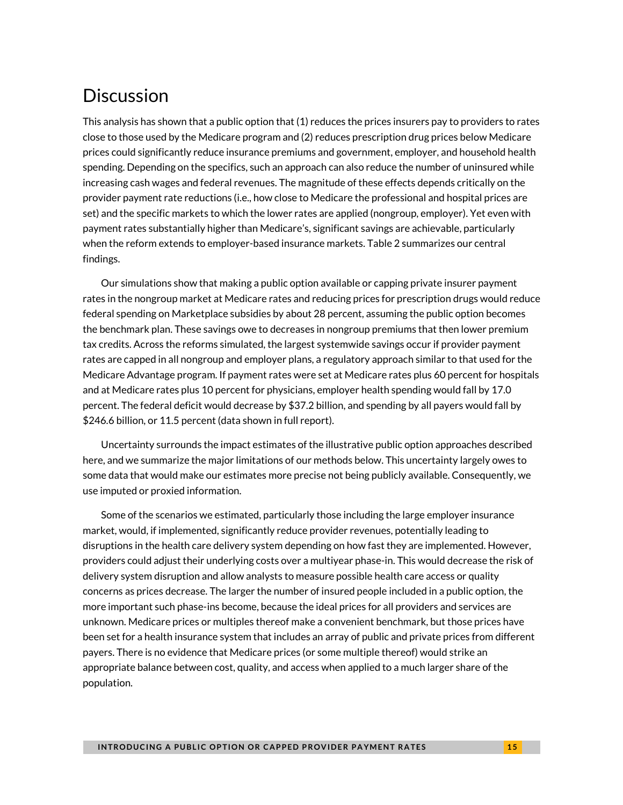### **Discussion**

This analysis has shown that a public option that (1) reduces the prices insurers pay to providers to rates close to those used by the Medicare program and (2) reduces prescription drug prices below Medicare prices could significantly reduce insurance premiums and government, employer, and household health spending. Depending on the specifics, such an approach can also reduce the number of uninsured while increasing cash wages and federal revenues. The magnitude of these effects depends critically on the provider payment rate reductions (i.e., how close to Medicare the professional and hospital prices are set) and the specific markets to which the lower rates are applied (nongroup, employer). Yet even with payment rates substantially higher than Medicare's, significant savings are achievable, particularly when the reform extends to employer-based insurance markets. Table 2 summarizes our central findings.

Our simulations show that making a public option available or capping private insurer payment rates in the nongroup market at Medicare rates and reducing prices for prescription drugs would reduce federal spending on Marketplace subsidies by about 28 percent, assuming the public option becomes the benchmark plan. These savings owe to decreases in nongroup premiums that then lower premium tax credits. Across the reforms simulated, the largest systemwide savings occur if provider payment rates are capped in all nongroup and employer plans, a regulatory approach similar to that used for the Medicare Advantage program. If payment rates were set at Medicare rates plus 60 percent for hospitals and at Medicare rates plus 10 percent for physicians, employer health spending would fall by 17.0 percent. The federal deficit would decrease by \$37.2 billion, and spending by all payers would fall by \$246.6 billion, or 11.5 percent (data shown in full report).

Uncertainty surrounds the impact estimates of the illustrative public option approaches described here, and we summarize the major limitations of our methods below. This uncertainty largely owes to some data that would make our estimates more precise not being publicly available. Consequently, we use imputed or proxied information.

Some of the scenarios we estimated, particularly those including the large employer insurance market, would, if implemented, significantly reduce provider revenues, potentially leading to disruptions in the health care delivery system depending on how fast they are implemented. However, providers could adjust their underlying costs over a multiyear phase-in. This would decrease the risk of delivery system disruption and allow analysts to measure possible health care access or quality concerns as prices decrease. The larger the number of insured people included in a public option, the more important such phase-ins become, because the ideal prices for all providers and services are unknown. Medicare prices or multiples thereof make a convenient benchmark, but those prices have been set for a health insurance system that includes an array of public and private prices from different payers. There is no evidence that Medicare prices (or some multiple thereof) would strike an appropriate balance between cost, quality, and access when applied to a much larger share of the population.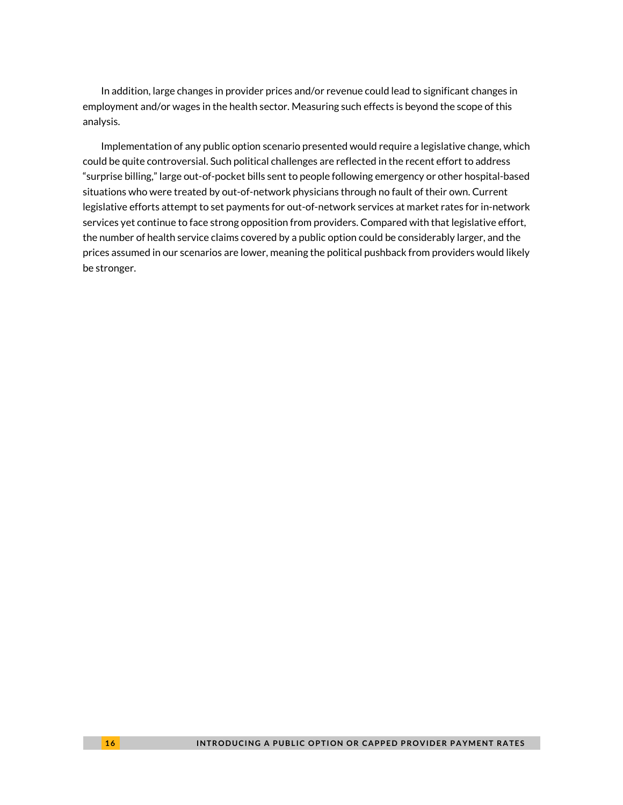In addition, large changes in provider prices and/or revenue could lead to significant changes in employment and/or wages in the health sector. Measuring such effects is beyond the scope of this analysis.

<span id="page-15-8"></span><span id="page-15-7"></span><span id="page-15-6"></span><span id="page-15-5"></span><span id="page-15-4"></span><span id="page-15-3"></span><span id="page-15-2"></span><span id="page-15-1"></span><span id="page-15-0"></span>Implementation of any public option scenario presented would require a legislative change, which could be quite controversial. Such political challenges are reflected in the recent effort to address "surprise billing," large out-of-pocket bills sent to people following emergency or other hospital-based situations who were treated by out-of-network physicians through no fault of their own. Current legislative efforts attempt to set payments for out-of-network services at market rates for in-network services yet continue to face strong opposition from providers. Compared with that legislative effort, the number of health service claims covered by a public option could be considerably larger, and the prices assumed in our scenarios are lower, meaning the political pushback from providers would likely be stronger.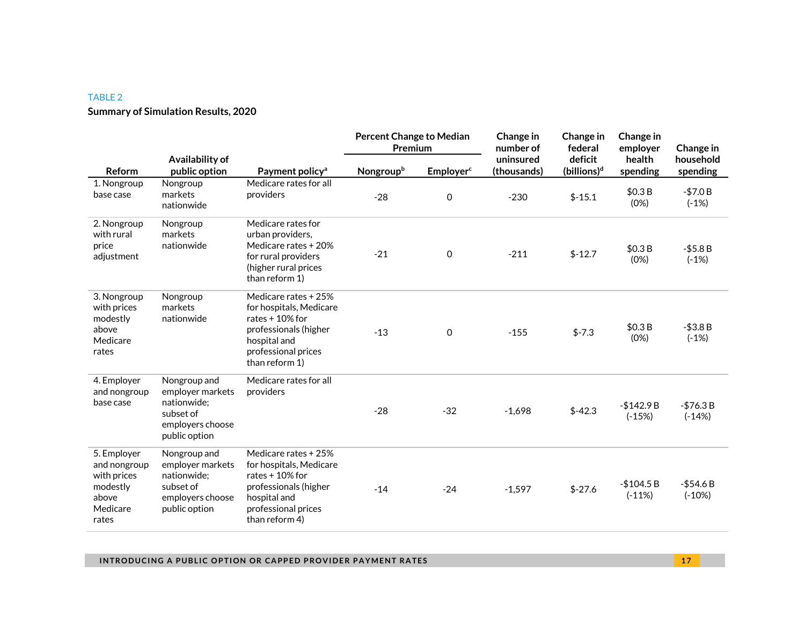#### TABLE 2

#### **Summary of Simulation Results, 2020**

|                                                                                      |                                                                                                   |                                                                                                                                                       | <b>Percent Change to Median</b><br>Premium |                              | Change in<br>number of   | Change in<br>federal               | Change in<br>employer   | Change in               |
|--------------------------------------------------------------------------------------|---------------------------------------------------------------------------------------------------|-------------------------------------------------------------------------------------------------------------------------------------------------------|--------------------------------------------|------------------------------|--------------------------|------------------------------------|-------------------------|-------------------------|
| Reform                                                                               | Availability of<br>public option                                                                  | Payment policy <sup>a</sup>                                                                                                                           | Nongroupb                                  | <b>Employer</b> <sup>c</sup> | uninsured<br>(thousands) | deficit<br>(billions) <sup>d</sup> | health<br>spending      | household<br>spending   |
| 1. Nongroup<br>base case                                                             | Nongroup<br>markets<br>nationwide                                                                 | Medicare rates for all<br>providers                                                                                                                   | $-28$                                      | $\mathbf 0$                  | $-230$                   | $$-15.1$                           | \$0.3B<br>(0%)          | $-$7.0 B$<br>$(-1%)$    |
| 2. Nongroup<br>with rural<br>price<br>adjustment                                     | Nongroup<br>markets<br>nationwide                                                                 | Medicare rates for<br>urban providers,<br>Medicare rates + 20%<br>for rural providers<br>(higher rural prices<br>than reform 1)                       | $-21$                                      | 0                            | $-211$                   | $$-12.7$                           | \$0.3B<br>(0%)          | $- $5.8 B$<br>$(-1%)$   |
| 3. Nongroup<br>with prices<br>modestly<br>above<br>Medicare<br>rates                 | Nongroup<br>markets<br>nationwide                                                                 | Medicare rates + 25%<br>for hospitals, Medicare<br>rates $+10%$ for<br>professionals (higher<br>hospital and<br>professional prices<br>than reform 1) | $-13$                                      | $\mathbf 0$                  | $-155$                   | $$-7.3$                            | \$0.3B<br>(0%)          | $- $3.8 B$<br>$(-1%)$   |
| 4. Employer<br>and nongroup<br>base case                                             | Nongroup and<br>employer markets<br>nationwide:<br>subset of<br>employers choose<br>public option | Medicare rates for all<br>providers                                                                                                                   | $-28$                                      | $-32$                        | $-1,698$                 | $$-42.3$                           | $-$142.9B$<br>$(-15%)$  | $-$76.3 B$<br>$(-14%)$  |
| 5. Employer<br>and nongroup<br>with prices<br>modestly<br>above<br>Medicare<br>rates | Nongroup and<br>employer markets<br>nationwide:<br>subset of<br>employers choose<br>public option | Medicare rates + 25%<br>for hospitals, Medicare<br>rates $+10%$ for<br>professionals (higher<br>hospital and<br>professional prices<br>than reform 4) | $-14$                                      | $-24$                        | $-1,597$                 | $$-27.6$                           | $-$104.5 B$<br>$(-11%)$ | $-$ \$54.6B<br>$(-10%)$ |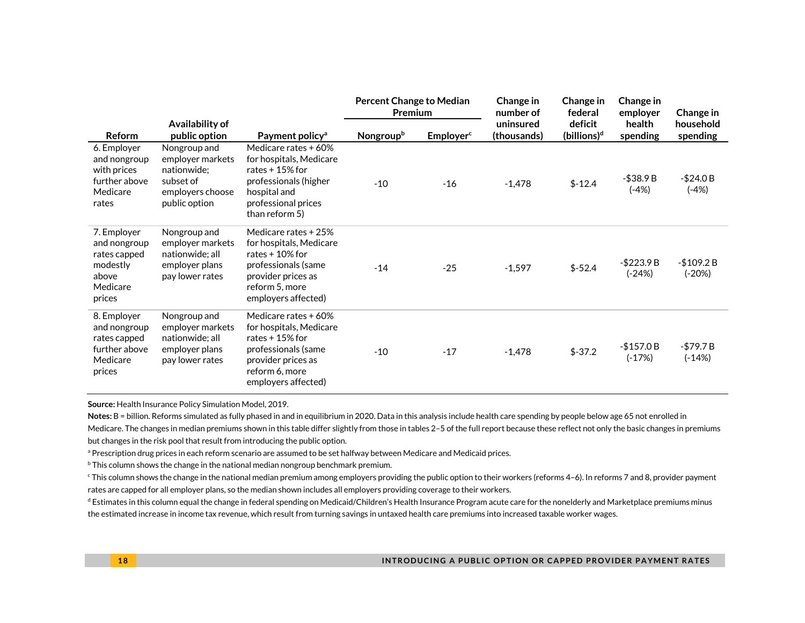|                                                                                        |                                                                                                   |                                                                                                                                                           | <b>Percent Change to Median</b><br>Premium |                              | Change in<br>number of   | Change in<br>federal               | Change in<br>employer     | Change in               |
|----------------------------------------------------------------------------------------|---------------------------------------------------------------------------------------------------|-----------------------------------------------------------------------------------------------------------------------------------------------------------|--------------------------------------------|------------------------------|--------------------------|------------------------------------|---------------------------|-------------------------|
| <b>Reform</b>                                                                          | Availability of<br>public option                                                                  | Payment policy <sup>a</sup>                                                                                                                               | Nongroupb                                  | <b>Employer</b> <sup>c</sup> | uninsured<br>(thousands) | deficit<br>(billions) <sup>d</sup> | health<br>spending        | household<br>spending   |
| 6. Employer<br>and nongroup<br>with prices<br>further above<br>Medicare<br>rates       | Nongroup and<br>employer markets<br>nationwide;<br>subset of<br>employers choose<br>public option | Medicare rates + 60%<br>for hospitals, Medicare<br>rates $+15%$ for<br>professionals (higher<br>hospital and<br>professional prices<br>than reform 5)     | $-10$                                      | $-16$                        | $-1,478$                 | $$-12.4$                           | $- $38.9 B$<br>$(-4%)$    | $-$ \$24.0 B<br>$(-4%)$ |
| 7. Employer<br>and nongroup<br>rates capped<br>modestly<br>above<br>Medicare<br>prices | Nongroup and<br>employer markets<br>nationwide; all<br>employer plans<br>pay lower rates          | Medicare rates + 25%<br>for hospitals, Medicare<br>rates $+10%$ for<br>professionals (same<br>provider prices as<br>reform 5, more<br>employers affected) | $-14$                                      | $-25$                        | $-1,597$                 | $$-52.4$                           | $-$ \$223.9 B<br>$(-24%)$ | $-$109.2 B$<br>$(-20%)$ |
| 8. Employer<br>and nongroup<br>rates capped<br>further above<br>Medicare<br>prices     | Nongroup and<br>employer markets<br>nationwide; all<br>employer plans<br>pay lower rates          | Medicare rates + 60%<br>for hospitals, Medicare<br>rates $+15%$ for<br>professionals (same<br>provider prices as<br>reform 6, more<br>employers affected) | $-10$                                      | $-17$                        | $-1,478$                 | $$-37.2$                           | $-$157.0 B$<br>$(-17%)$   | $-$79.7B$<br>$(-14%)$   |

**Source:** Health Insurance Policy Simulation Model, 2019.

Notes: B = billion. Reforms simulated as fully phased in and in equilibrium in 2020. Data in this analysis include health care spending by people below age 65 not enrolled in

Medicare. The changes in median premiums shown in this table differ slightly from those in tables 2-5 of the full report because these reflect not only the basic changes in premiums but changes in the risk pool that result from introducing the public option.

<sup>a</sup> Prescription drug prices in each reform scenario are assumed to be set halfway between Medicare and Medicaid prices.

<sup>b</sup> This column shows the change in the national median nongroup benchmark premium.

<sup>c</sup> This column shows the change in the national median premium among employers providing the public option to their workers (reforms 4–6). In reforms 7 and 8, provider payment rates are capped for all employer plans, so the median shown includes all employers providing coverage to their workers.

<sup>d</sup> Estimates in this column equal the change in federal spending on Medicaid/Children's Health Insurance Program acute care for the nonelderly and Marketplace premiums minus the estimated increase in income tax revenue, which result from turning savings in untaxed health care premiums into increased taxable worker wages.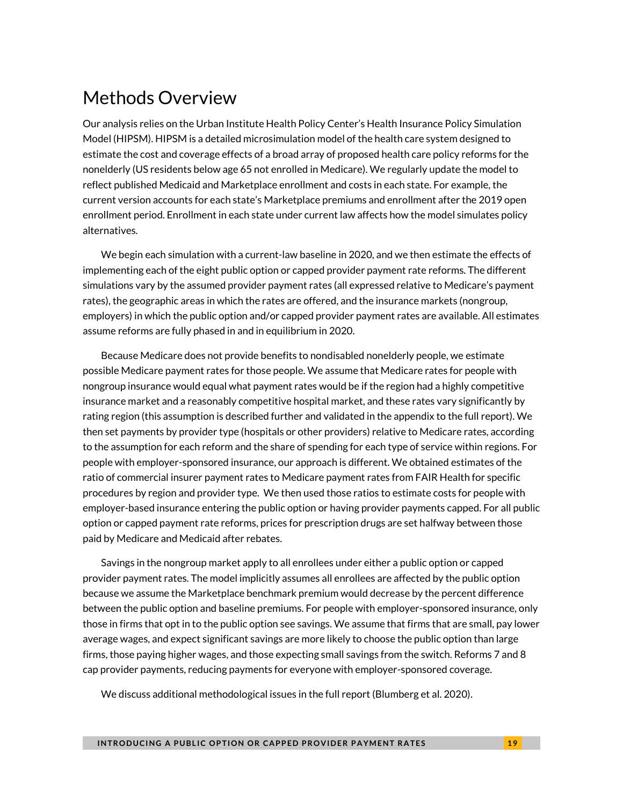### Methods Overview

Our analysis relies on the Urban Institute Health Policy Center's Health Insurance Policy Simulation Model (HIPSM). HIPSM is a detailed microsimulation model of the health care system designed to estimate the cost and coverage effects of a broad array of proposed health care policy reforms for the nonelderly (US residents below age 65 not enrolled in Medicare). We regularly update the model to reflect published Medicaid and Marketplace enrollment and costs in each state. For example, the current version accounts for each state's Marketplace premiums and enrollment after the 2019 open enrollment period. Enrollment in each state under current law affects how the model simulates policy alternatives.

We begin each simulation with a current-law baseline in 2020, and we then estimate the effects of implementing each of the eight public option or capped provider payment rate reforms. The different simulations vary by the assumed provider payment rates (all expressed relative to Medicare's payment rates), the geographic areas in which the rates are offered, and the insurance markets (nongroup, employers) in which the public option and/or capped provider payment rates are available. All estimates assume reforms are fully phased in and in equilibrium in 2020.

Because Medicare does not provide benefits to nondisabled nonelderly people, we estimate possible Medicare payment rates for those people. We assume that Medicare rates for people with nongroup insurance would equal what payment rates would be if the region had a highly competitive insurance market and a reasonably competitive hospital market, and these rates vary significantly by rating region (this assumption is described further and validated in the appendix to the full report). We then set payments by provider type (hospitals or other providers) relative to Medicare rates, according to the assumption for each reform and the share of spending for each type of service within regions. For people with employer-sponsored insurance, our approach is different. We obtained estimates of the ratio of commercial insurer payment rates to Medicare payment rates from FAIR Health for specific procedures by region and provider type. We then used those ratios to estimate costs for people with employer-based insurance entering the public option or having provider payments capped. For all public option or capped payment rate reforms, prices for prescription drugs are set halfway between those paid by Medicare and Medicaid after rebates.

Savings in the nongroup market apply to all enrollees under either a public option or capped provider payment rates. The model implicitly assumes all enrollees are affected by the public option because we assume the Marketplace benchmark premium would decrease by the percent difference between the public option and baseline premiums. For people with employer-sponsored insurance, only those in firms that opt in to the public option see savings. We assume that firms that are small, pay lower average wages, and expect significant savings are more likely to choose the public option than large firms, those paying higher wages, and those expecting small savings from the switch. Reforms 7 and 8 cap provider payments, reducing payments for everyone with employer-sponsored coverage.

We discuss additional methodological issues in the full report (Blumberg et al. 2020).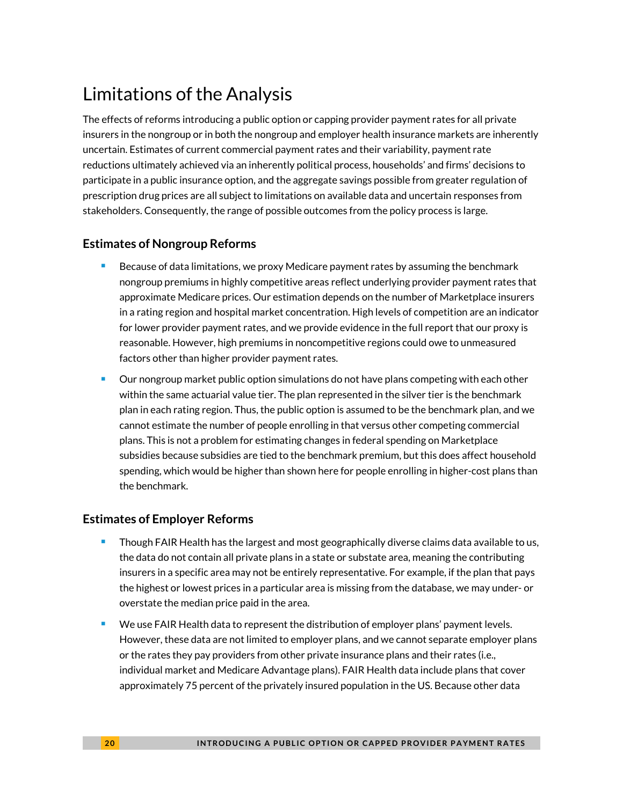### Limitations of the Analysis

The effects of reforms introducing a public option or capping provider payment rates for all private insurers in the nongroup or in both the nongroup and employer health insurance markets are inherently uncertain. Estimates of current commercial payment rates and their variability, payment rate reductions ultimately achieved via an inherently political process, households' and firms' decisions to participate in a public insurance option, and the aggregate savings possible from greater regulation of prescription drug prices are all subject to limitations on available data and uncertain responses from stakeholders. Consequently, the range of possible outcomes from the policy process is large.

#### **Estimates of Nongroup Reforms**

- **Because of data limitations, we proxy Medicare payment rates by assuming the benchmark** nongroup premiums in highly competitive areas reflect underlying provider payment rates that approximate Medicare prices. Our estimation depends on the number of Marketplace insurers in a rating region and hospital market concentration. High levels of competition are an indicator for lower provider payment rates, and we provide evidence in the full report that our proxy is reasonable. However, high premiums in noncompetitive regions could owe to unmeasured factors other than higher provider payment rates.
- Our nongroup market public option simulations do not have plans competing with each other within the same actuarial value tier. The plan represented in the silver tier is the benchmark plan in each rating region. Thus, the public option is assumed to be the benchmark plan, and we cannot estimate the number of people enrolling in that versus other competing commercial plans. This is not a problem for estimating changes in federal spending on Marketplace subsidies because subsidies are tied to the benchmark premium, but this does affect household spending, which would be higher than shown here for people enrolling in higher-cost plans than the benchmark.

#### **Estimates of Employer Reforms**

- **Though FAIR Health has the largest and most geographically diverse claims data available to us,** the data do not contain all private plans in a state or substate area, meaning the contributing insurers in a specific area may not be entirely representative. For example, if the plan that pays the highest or lowest prices in a particular area is missing from the database, we may under- or overstate the median price paid in the area.
- We use FAIR Health data to represent the distribution of employer plans' payment levels. However, these data are not limited to employer plans, and we cannot separate employer plans or the rates they pay providers from other private insurance plans and their rates (i.e., individual market and Medicare Advantage plans). FAIR Health data include plans that cover approximately 75 percent of the privately insured population in the US. Because other data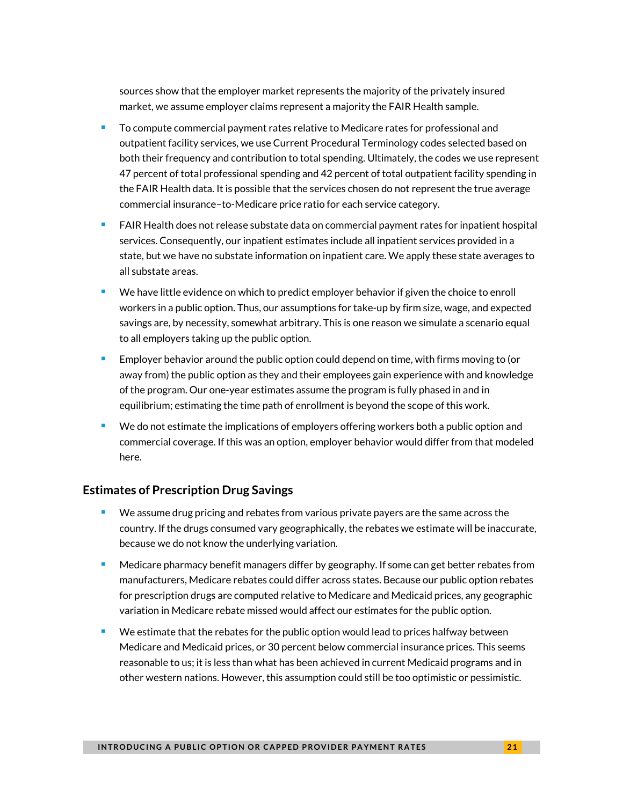sources show that the employer market represents the majority of the privately insured market, we assume employer claims represent a majority the FAIR Health sample.

- To compute commercial payment rates relative to Medicare rates for professional and outpatient facility services, we use Current Procedural Terminology codes selected based on both their frequency and contribution to total spending. Ultimately, the codes we use represent 47 percent of total professional spending and 42 percent of total outpatient facility spending in the FAIR Health data. It is possible that the services chosen do not represent the true average commercial insurance–to-Medicare price ratio for each service category.
- FAIR Health does not release substate data on commercial payment rates for inpatient hospital services. Consequently, our inpatient estimates include all inpatient services provided in a state, but we have no substate information on inpatient care. We apply these state averages to all substate areas.
- We have little evidence on which to predict employer behavior if given the choice to enroll workers in a public option. Thus, our assumptions for take-up by firm size, wage, and expected savings are, by necessity, somewhat arbitrary. This is one reason we simulate a scenario equal to all employers taking up the public option.
- **Employer behavior around the public option could depend on time, with firms moving to (or** away from) the public option as they and their employees gain experience with and knowledge of the program. Our one-year estimates assume the program is fully phased in and in equilibrium; estimating the time path of enrollment is beyond the scope of this work.
- $\blacksquare$  We do not estimate the implications of employers offering workers both a public option and commercial coverage. If this was an option, employer behavior would differ from that modeled here.

#### **Estimates of Prescription Drug Savings**

- We assume drug pricing and rebates from various private payers are the same across the country. If the drugs consumed vary geographically, the rebates we estimate will be inaccurate, because we do not know the underlying variation.
- **Medicare pharmacy benefit managers differ by geography. If some can get better rebates from** manufacturers, Medicare rebates could differ across states. Because our public option rebates for prescription drugs are computed relative to Medicare and Medicaid prices, any geographic variation in Medicare rebate missed would affect our estimates for the public option.
- We estimate that the rebates for the public option would lead to prices halfway between Medicare and Medicaid prices, or 30 percent below commercial insurance prices. This seems reasonable to us; it is less than what has been achieved in current Medicaid programs and in other western nations. However, this assumption could still be too optimistic or pessimistic.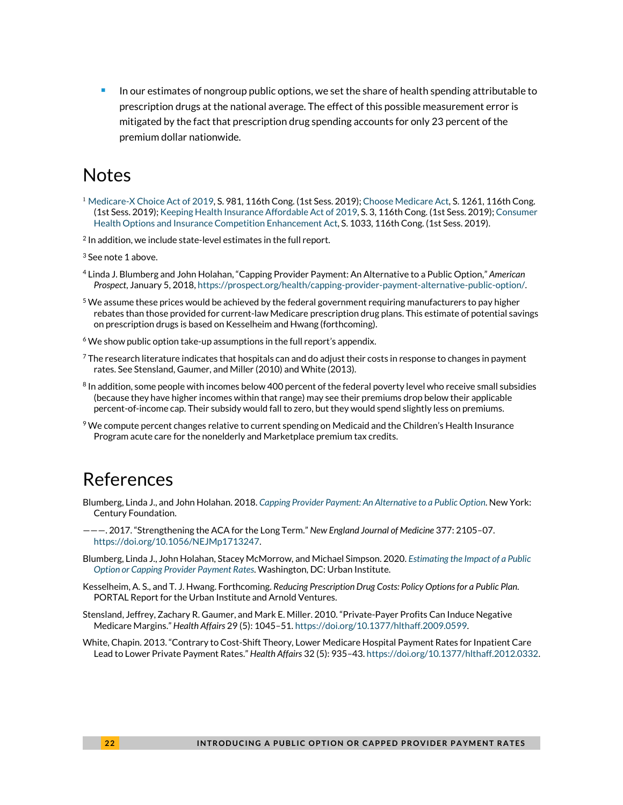In our estimates of nongroup public options, we set the share of health spending attributable to prescription drugs at the national average. The effect of this possible measurement error is mitigated by the fact that prescription drug spending accounts for only 23 percent of the premium dollar nationwide.

### Notes

- <sup>1</sup> [Medicare-X Choice Act of 2019,](https://www.congress.gov/bill/116th-congress/senate-bill/981) S. 981, 116th Cong. (1st Sess. 2019)[; Choose Medicare Act,](https://www.congress.gov/bill/116th-congress/senate-bill/1261) S. 1261, 116th Cong. (1st Sess. 2019)[; Keeping Health Insurance Affordable Act of 2019,](https://www.congress.gov/bill/116th-congress/senate-bill/3) S. 3, 116th Cong. (1st Sess. 2019)[; Consumer](https://www.congress.gov/bill/116th-congress/senate-bill/1033)  [Health Options and Insurance Competition Enhancement Act,](https://www.congress.gov/bill/116th-congress/senate-bill/1033) S. 1033, 116th Cong. (1st Sess. 2019).
- <sup>2</sup> In addition, we include state-level estimates in the full report.
- <sup>3</sup> See note 1 above.
- <sup>4</sup> Linda J. Blumberg and John Holahan, "Capping Provider Payment: An Alternative to a Public Option," *American Prospect*, January 5, 2018[, https://prospect.org/health/capping-provider-payment-alternative-public-option/.](https://prospect.org/health/capping-provider-payment-alternative-public-option/)
- $5$  We assume these prices would be achieved by the federal government requiring manufacturers to pay higher rebates than those provided for current-law Medicare prescription drug plans. This estimate of potential savings on prescription drugs is based on Kesselheim and Hwang (forthcoming).
- $6$  We show public option take-up assumptions in the full report's appendix.
- $7$  The research literature indicates that hospitals can and do adjust their costs in response to changes in payment rates. See Stensland, Gaumer, and Miller (2010) and White (2013).
- <sup>8</sup> In addition, some people with incomes below 400 percent of the federal poverty level who receive small subsidies (because they have higher incomes within that range) may see their premiums drop below their applicable percent-of-income cap. Their subsidy would fall to zero, but they would spend slightly less on premiums.
- $9$  We compute percent changes relative to current spending on Medicaid and the Children's Health Insurance Program acute care for the nonelderly and Marketplace premium tax credits.

### References

- Blumberg, Linda J., and John Holahan. 2018. *[Capping Provider Payment: An Alternative to a Public Option](https://production-tcf.imgix.net/app/uploads/2018/01/03151137/capping-provider-payment.pdf)*. New York: Century Foundation.
- ———. 2017. "Strengthening the ACA for the Long Term." *New England Journal of Medicine* 377: 2105–07. [https://doi.org/10.1056/NEJMp1713247.](https://doi.org/10.1056/NEJMp1713247)
- Blumberg, Linda J., John Holahan, Stacey McMorrow, and Michael Simpson. 2020. *[Estimating the Impact of a Public](https://www.urban.org/research/publication/how-about-estimates-implications-public-option-and-capped-provider-payment-rate-reforms/report)  [Option or Capping Provider Payment Rates](https://www.urban.org/research/publication/how-about-estimates-implications-public-option-and-capped-provider-payment-rate-reforms/report)*. Washington, DC: Urban Institute.
- Kesselheim, A. S., and T. J. Hwang. Forthcoming. *Reducing Prescription Drug Costs: Policy Options for a Public Plan*. PORTAL Report for the Urban Institute and Arnold Ventures.
- Stensland, Jeffrey, Zachary R. Gaumer, and Mark E. Miller. 2010. "Private-Payer Profits Can Induce Negative Medicare Margins." *Health Affairs* 29 (5): 1045–51[. https://doi.org/10.1377/hlthaff.2009.0599.](https://doi.org/10.1377/hlthaff.2009.0599)
- White, Chapin. 2013. "Contrary to Cost-Shift Theory, Lower Medicare Hospital Payment Rates for Inpatient Care Lead to Lower Private Payment Rates." *Health Affairs* 32 (5): 935–43[. https://doi.org/10.1377/hlthaff.2012.0332.](https://doi.org/10.1377/hlthaff.2012.0332)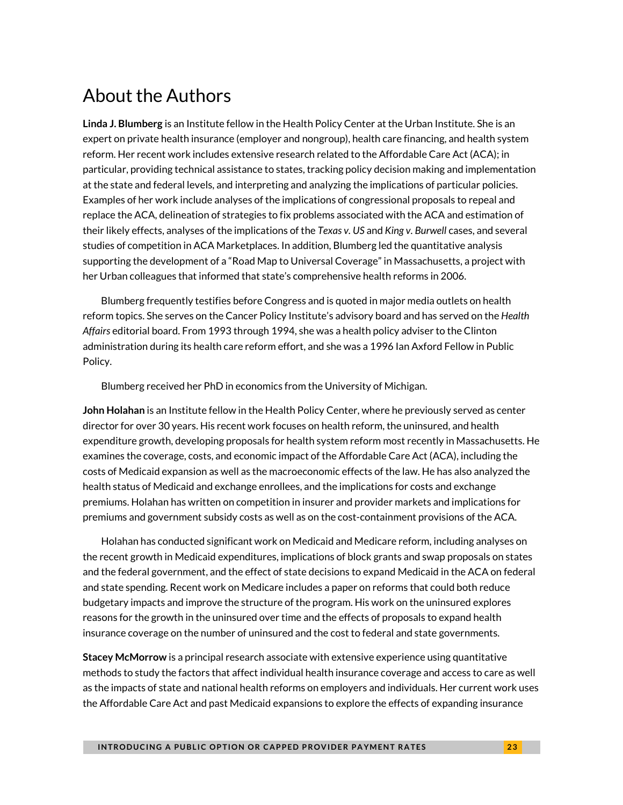### About the Authors

**Linda J. Blumberg** is an Institute fellow in the Health Policy Center at the Urban Institute. She is an expert on private health insurance (employer and nongroup), health care financing, and health system reform. Her recent work includes extensive research related to the Affordable Care Act (ACA); in particular, providing technical assistance to states, tracking policy decision making and implementation at the state and federal levels, and interpreting and analyzing the implications of particular policies. Examples of her work include analyses of the implications of congressional proposals to repeal and replace the ACA, delineation of strategies to fix problems associated with the ACA and estimation of their likely effects, analyses of the implications of the *Texas v. US* and *King v. Burwell* cases, and several studies of competition in ACA Marketplaces. In addition, Blumberg led the quantitative analysis supporting the development of a "Road Map to Universal Coverage" in Massachusetts, a project with her Urban colleagues that informed that state's comprehensive health reforms in 2006.

Blumberg frequently testifies before Congress and is quoted in major media outlets on health reform topics. She serves on the Cancer Policy Institute's advisory board and has served on the *Health Affairs* editorial board. From 1993 through 1994, she was a health policy adviser to the Clinton administration during its health care reform effort, and she was a 1996 Ian Axford Fellow in Public Policy.

Blumberg received her PhD in economics from the University of Michigan.

**John Holahan** is an Institute fellow in the Health Policy Center, where he previously served as center director for over 30 years. His recent work focuses on health reform, the uninsured, and health expenditure growth, developing proposals for health system reform most recently in Massachusetts. He examines the coverage, costs, and economic impact of the Affordable Care Act (ACA), including the costs of Medicaid expansion as well as the macroeconomic effects of the law. He has also analyzed the health status of Medicaid and exchange enrollees, and the implications for costs and exchange premiums. Holahan has written on competition in insurer and provider markets and implications for premiums and government subsidy costs as well as on the cost-containment provisions of the ACA.

Holahan has conducted significant work on Medicaid and Medicare reform, including analyses on the recent growth in Medicaid expenditures, implications of block grants and swap proposals on states and the federal government, and the effect of state decisions to expand Medicaid in the ACA on federal and state spending. Recent work on Medicare includes a paper on reforms that could both reduce budgetary impacts and improve the structure of the program. His work on the uninsured explores reasons for the growth in the uninsured over time and the effects of proposals to expand health insurance coverage on the number of uninsured and the cost to federal and state governments.

**Stacey McMorrow** is a principal research associate with extensive experience using quantitative methods to study the factors that affect individual health insurance coverage and access to care as well as the impacts of state and national health reforms on employers and individuals. Her current work uses the Affordable Care Act and past Medicaid expansions to explore the effects of expanding insurance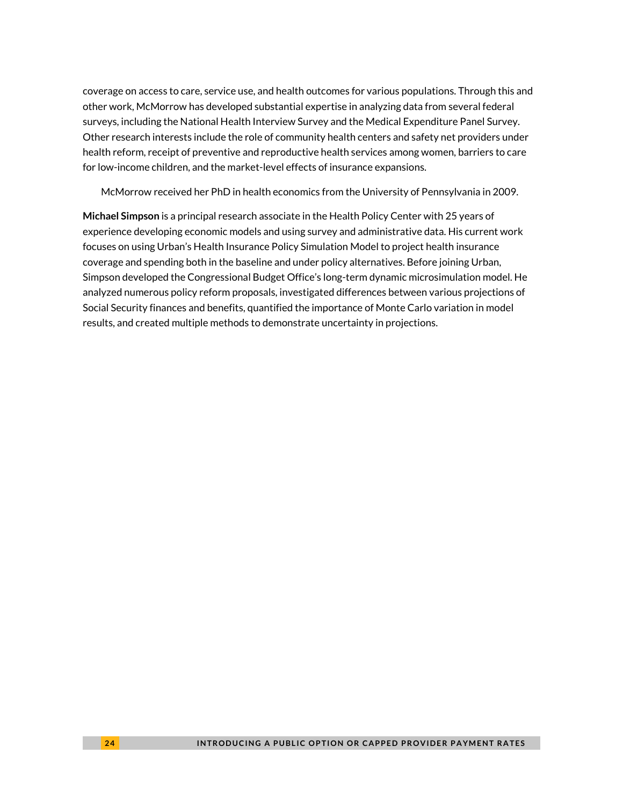coverage on access to care, service use, and health outcomes for various populations. Through this and other work, McMorrow has developed substantial expertise in analyzing data from several federal surveys, including the National Health Interview Survey and the Medical Expenditure Panel Survey. Other research interests include the role of community health centers and safety net providers under health reform, receipt of preventive and reproductive health services among women, barriers to care for low-income children, and the market-level effects of insurance expansions.

McMorrow received her PhD in health economics from the University of Pennsylvania in 2009.

**Michael Simpson** is a principal research associate in the Health Policy Center with 25 years of experience developing economic models and using survey and administrative data. His current work focuses on using Urban's Health Insurance Policy Simulation Model to project health insurance coverage and spending both in the baseline and under policy alternatives. Before joining Urban, Simpson developed the Congressional Budget Office's long-term dynamic microsimulation model. He analyzed numerous policy reform proposals, investigated differences between various projections of Social Security finances and benefits, quantified the importance of Monte Carlo variation in model results, and created multiple methods to demonstrate uncertainty in projections.